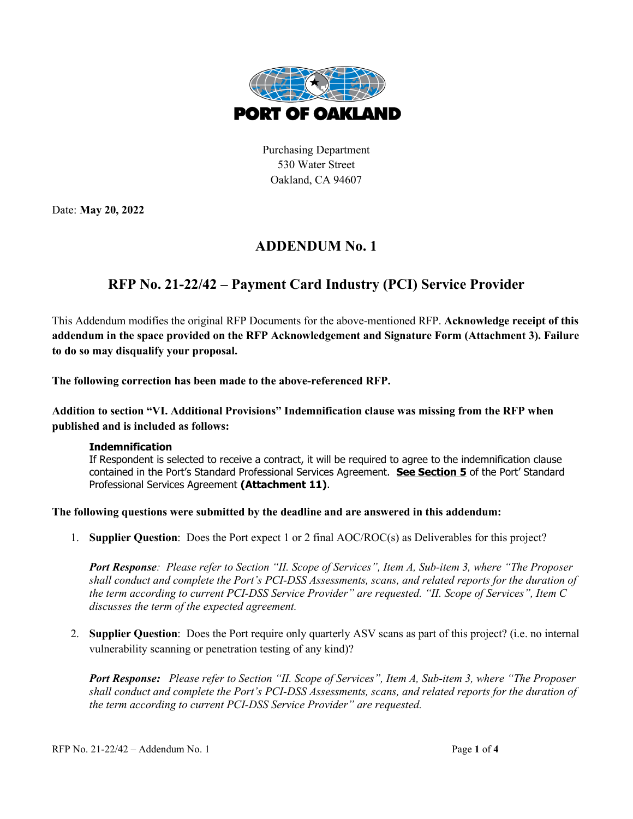

Purchasing Department 530 Water Street Oakland, CA 94607

Date: **May 20, 2022** 

## **ADDENDUM No. 1**

## **RFP No. 21-22/42 – Payment Card Industry (PCI) Service Provider**

This Addendum modifies the original RFP Documents for the above-mentioned RFP. **Acknowledge receipt of this addendum in the space provided on the RFP Acknowledgement and Signature Form (Attachment 3). Failure to do so may disqualify your proposal.**

**The following correction has been made to the above-referenced RFP.**

**Addition to section "VI. Additional Provisions" Indemnification clause was missing from the RFP when published and is included as follows:**

## **Indemnification**

If Respondent is selected to receive a contract, it will be required to agree to the indemnification clause contained in the Port's Standard Professional Services Agreement. **See Section 5** of the Port' Standard Professional Services Agreement **(Attachment 11)**.

**The following questions were submitted by the deadline and are answered in this addendum:**

1. **Supplier Question**: Does the Port expect 1 or 2 final AOC/ROC(s) as Deliverables for this project?

*Port Response: Please refer to Section "II. Scope of Services", Item A, Sub-item 3, where "The Proposer shall conduct and complete the Port's PCI-DSS Assessments, scans, and related reports for the duration of the term according to current PCI-DSS Service Provider" are requested. "II. Scope of Services", Item C discusses the term of the expected agreement.*

2. **Supplier Question**: Does the Port require only quarterly ASV scans as part of this project? (i.e. no internal vulnerability scanning or penetration testing of any kind)?

*Port Response: Please refer to Section "II. Scope of Services", Item A, Sub-item 3, where "The Proposer shall conduct and complete the Port's PCI-DSS Assessments, scans, and related reports for the duration of the term according to current PCI-DSS Service Provider" are requested.*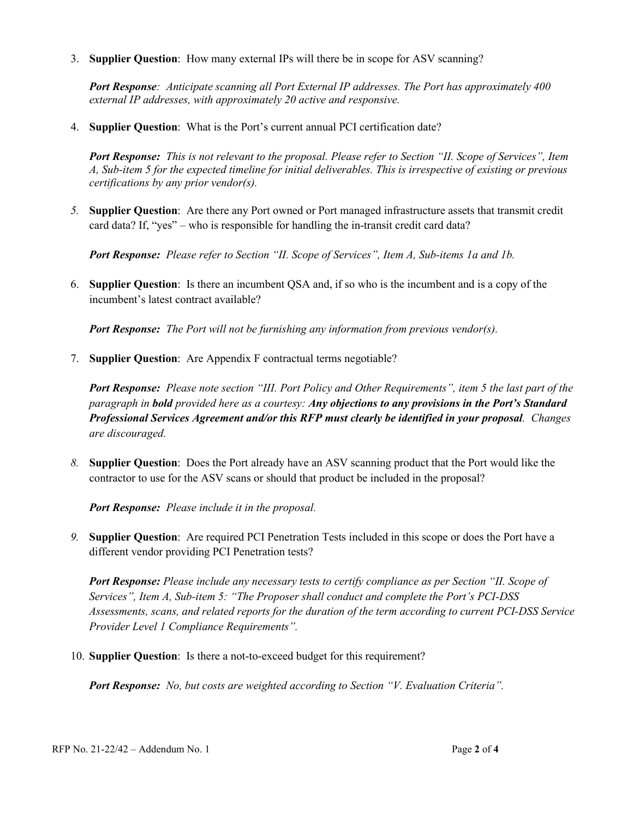3. **Supplier Question**: How many external IPs will there be in scope for ASV scanning?

*Port Response: Anticipate scanning all Port External IP addresses. The Port has approximately 400 external IP addresses, with approximately 20 active and responsive.*

4. **Supplier Question**: What is the Port's current annual PCI certification date?

*Port Response: This is not relevant to the proposal. Please refer to Section "II. Scope of Services", Item A, Sub-item 5 for the expected timeline for initial deliverables. This is irrespective of existing or previous certifications by any prior vendor(s).*

*5.* **Supplier Question**: Are there any Port owned or Port managed infrastructure assets that transmit credit card data? If, "yes" – who is responsible for handling the in-transit credit card data?

*Port Response: Please refer to Section "II. Scope of Services", Item A, Sub-items 1a and 1b.*

6. **Supplier Question**: Is there an incumbent QSA and, if so who is the incumbent and is a copy of the incumbent's latest contract available?

*Port Response: The Port will not be furnishing any information from previous vendor(s).*

7. **Supplier Question**: Are Appendix F contractual terms negotiable?

*Port Response: Please note section "III. Port Policy and Other Requirements", item 5 the last part of the paragraph in bold provided here as a courtesy: Any objections to any provisions in the Port's Standard Professional Services Agreement and/or this RFP must clearly be identified in your proposal. Changes are discouraged.*

*8.* **Supplier Question**: Does the Port already have an ASV scanning product that the Port would like the contractor to use for the ASV scans or should that product be included in the proposal?

*Port Response: Please include it in the proposal.*

*9.* **Supplier Question**: Are required PCI Penetration Tests included in this scope or does the Port have a different vendor providing PCI Penetration tests?

*Port Response: Please include any necessary tests to certify compliance as per Section "II. Scope of Services", Item A, Sub-item 5: "The Proposer shall conduct and complete the Port's PCI-DSS Assessments, scans, and related reports for the duration of the term according to current PCI-DSS Service Provider Level 1 Compliance Requirements".*

10. **Supplier Question**: Is there a not-to-exceed budget for this requirement?

*Port Response: No, but costs are weighted according to Section "V. Evaluation Criteria".*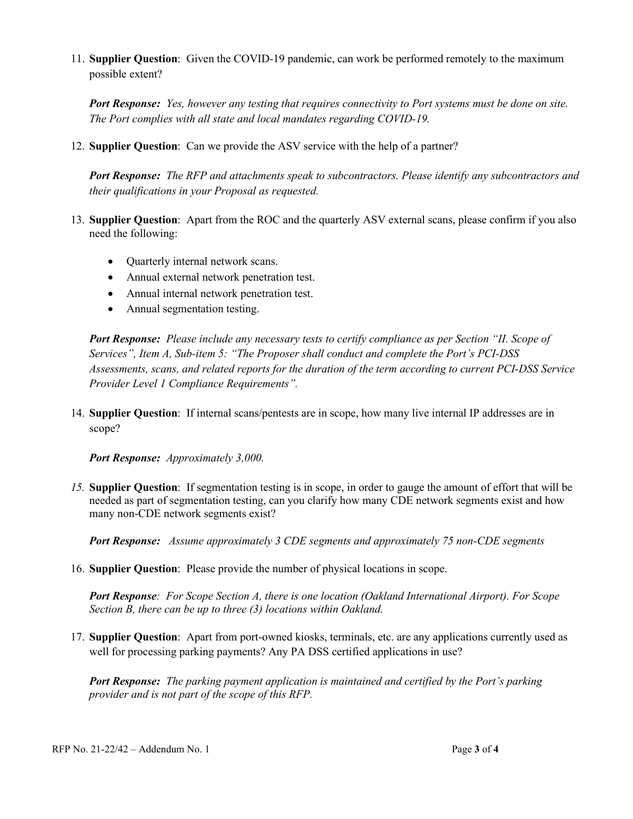11. **Supplier Question**: Given the COVID-19 pandemic, can work be performed remotely to the maximum possible extent?

*Port Response: Yes, however any testing that requires connectivity to Port systems must be done on site. The Port complies with all state and local mandates regarding COVID-19.*

12. **Supplier Question**: Can we provide the ASV service with the help of a partner?

*Port Response: The RFP and attachments speak to subcontractors. Please identify any subcontractors and their qualifications in your Proposal as requested.*

- 13. **Supplier Question**: Apart from the ROC and the quarterly ASV external scans, please confirm if you also need the following:
	- Quarterly internal network scans.
	- Annual external network penetration test.
	- Annual internal network penetration test.
	- Annual segmentation testing.

*Port Response: Please include any necessary tests to certify compliance as per Section "II. Scope of Services", Item A, Sub-item 5: "The Proposer shall conduct and complete the Port's PCI-DSS Assessments, scans, and related reports for the duration of the term according to current PCI-DSS Service Provider Level 1 Compliance Requirements".*

14. **Supplier Question**: If internal scans/pentests are in scope, how many live internal IP addresses are in scope?

*Port Response: Approximately 3,000.*

*15.* **Supplier Question**: If segmentation testing is in scope, in order to gauge the amount of effort that will be needed as part of segmentation testing, can you clarify how many CDE network segments exist and how many non-CDE network segments exist?

*Port Response: Assume approximately 3 CDE segments and approximately 75 non-CDE segments*

16. **Supplier Question**: Please provide the number of physical locations in scope.

*Port Response: For Scope Section A, there is one location (Oakland International Airport). For Scope Section B, there can be up to three (3) locations within Oakland.*

17. **Supplier Question**: Apart from port-owned kiosks, terminals, etc. are any applications currently used as well for processing parking payments? Any PA DSS certified applications in use?

*Port Response: The parking payment application is maintained and certified by the Port's parking provider and is not part of the scope of this RFP.*